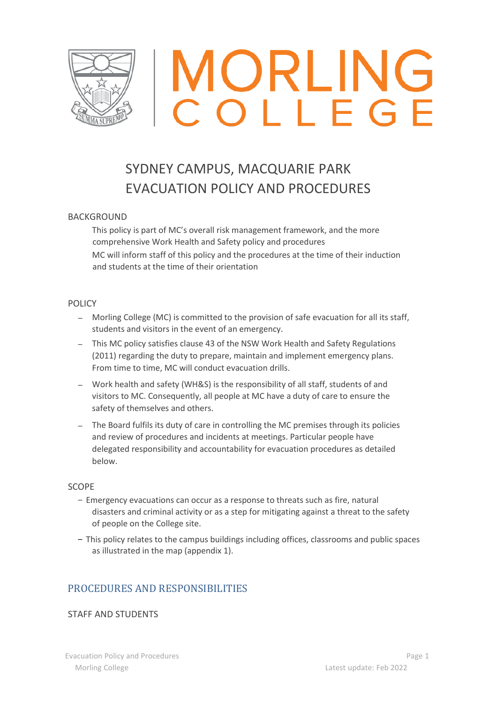

# MORLING

# SYDNEY CAMPUS, MACQUARIE PARK EVACUATION POLICY AND PROCEDURES

#### BACKGROUND

This policy is part of MC's overall risk management framework, and the more comprehensive Work Health and Safety policy and procedures MC will inform staff of this policy and the procedures at the time of their induction and students at the time of their orientation

#### POLICY

- − Morling College (MC) is committed to the provision of safe evacuation for all its staff, students and visitors in the event of an emergency.
- − This MC policy satisfies clause 43 of the NSW Work Health and Safety Regulations (2011) regarding the duty to prepare, maintain and implement emergency plans. From time to time, MC will conduct evacuation drills.
- − Work health and safety (WH&S) is the responsibility of all staff, students of and visitors to MC. Consequently, all people at MC have a duty of care to ensure the safety of themselves and others.
- − The Board fulfils its duty of care in controlling the MC premises through its policies and review of procedures and incidents at meetings. Particular people have delegated responsibility and accountability for evacuation procedures as detailed below.

#### SCOPE

- − Emergency evacuations can occur as a response to threats such as fire, natural disasters and criminal activity or as a step for mitigating against a threat to the safety of people on the College site.
- − This policy relates to the campus buildings including offices, classrooms and public spaces as illustrated in the map (appendix 1).

## PROCEDURES AND RESPONSIBILITIES

#### STAFF AND STUDENTS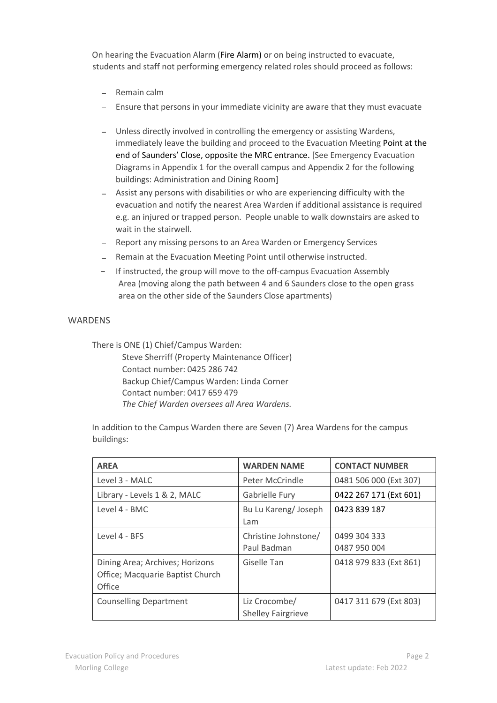On hearing the Evacuation Alarm (Fire Alarm) or on being instructed to evacuate, students and staff not performing emergency related roles should proceed as follows:

- − Remain calm
- − Ensure that persons in your immediate vicinity are aware that they must evacuate
- − Unless directly involved in controlling the emergency or assisting Wardens, immediately leave the building and proceed to the Evacuation Meeting Point at the end of Saunders' Close, opposite the MRC entrance. [See Emergency Evacuation Diagrams in Appendix 1 for the overall campus and Appendix 2 for the following buildings: Administration and Dining Room]
- − Assist any persons with disabilities or who are experiencing difficulty with the evacuation and notify the nearest Area Warden if additional assistance is required e.g. an injured or trapped person. People unable to walk downstairs are asked to wait in the stairwell.
- − Report any missing persons to an Area Warden or Emergency Services
- − Remain at the Evacuation Meeting Point until otherwise instructed.
- − If instructed, the group will move to the off-campus Evacuation Assembly Area (moving along the path between 4 and 6 Saunders close to the open grass area on the other side of the Saunders Close apartments)

#### **WARDENS**

There is ONE (1) Chief/Campus Warden:

Steve Sherriff (Property Maintenance Officer) Contact number: 0425 286 742 Backup Chief/Campus Warden: Linda Corner Contact number: 0417 659 479 *The Chief Warden oversees all Area Wardens.* 

In addition to the Campus Warden there are Seven (7) Area Wardens for the campus buildings:

| <b>AREA</b>                                                                   | <b>WARDEN NAME</b>                         | <b>CONTACT NUMBER</b>        |
|-------------------------------------------------------------------------------|--------------------------------------------|------------------------------|
| Level 3 - MALC                                                                | Peter McCrindle                            | 0481 506 000 (Ext 307)       |
| Library - Levels 1 & 2, MALC                                                  | Gabrielle Fury                             | 0422 267 171 (Ext 601)       |
| Level 4 - BMC                                                                 | Bu Lu Kareng/Joseph<br>Lam                 | 0423 839 187                 |
| Level 4 - BFS                                                                 | Christine Johnstone/<br>Paul Badman        | 0499 304 333<br>0487 950 004 |
| Dining Area; Archives; Horizons<br>Office; Macquarie Baptist Church<br>Office | Giselle Tan                                | 0418 979 833 (Ext 861)       |
| <b>Counselling Department</b>                                                 | Liz Crocombe/<br><b>Shelley Fairgrieve</b> | 0417 311 679 (Ext 803)       |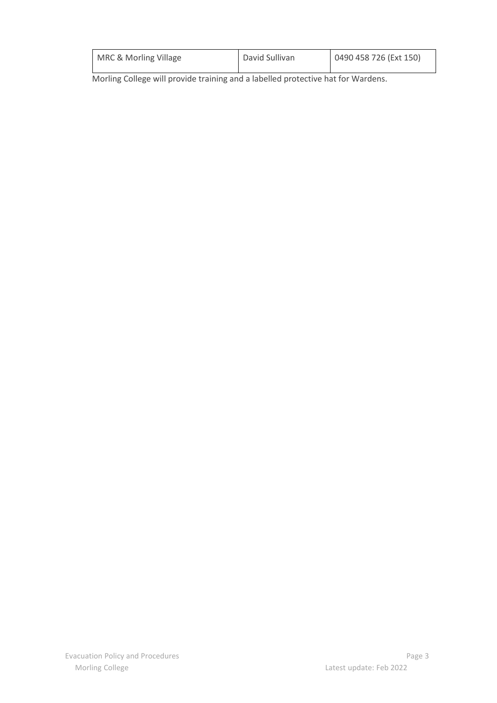| MRC & Morling Village | David Sullivan | 0490 458 726 (Ext 150) |
|-----------------------|----------------|------------------------|
|                       |                |                        |

Morling College will provide training and a labelled protective hat for Wardens.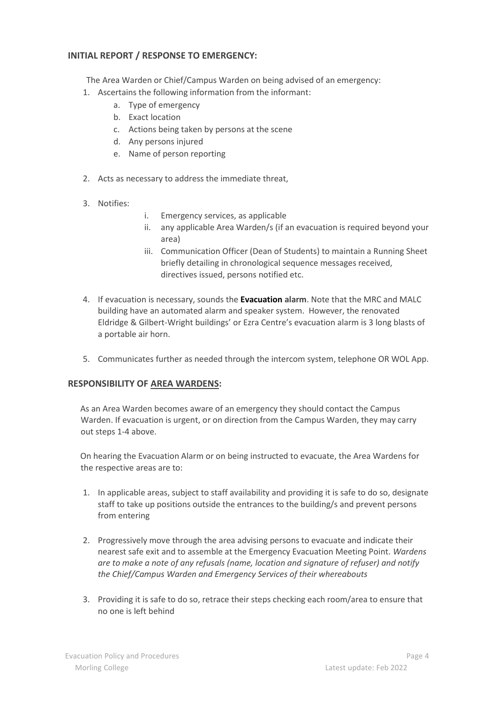#### **INITIAL REPORT / RESPONSE TO EMERGENCY:**

The Area Warden or Chief/Campus Warden on being advised of an emergency:

- 1. Ascertains the following information from the informant:
	- a. Type of emergency
	- b. Exact location
	- c. Actions being taken by persons at the scene
	- d. Any persons injured
	- e. Name of person reporting
- 2. Acts as necessary to address the immediate threat,
- 3. Notifies:
- i. Emergency services, as applicable
- ii. any applicable Area Warden/s (if an evacuation is required beyond your area)
- iii. Communication Officer (Dean of Students) to maintain a Running Sheet briefly detailing in chronological sequence messages received, directives issued, persons notified etc.
- 4. If evacuation is necessary, sounds the **Evacuation alarm**. Note that the MRC and MALC building have an automated alarm and speaker system. However, the renovated Eldridge & Gilbert-Wright buildings' or Ezra Centre's evacuation alarm is 3 long blasts of a portable air horn.
- 5. Communicates further as needed through the intercom system, telephone OR WOL App.

#### **RESPONSIBILITY OF AREA WARDENS:**

As an Area Warden becomes aware of an emergency they should contact the Campus Warden. If evacuation is urgent, or on direction from the Campus Warden, they may carry out steps 1-4 above.

On hearing the Evacuation Alarm or on being instructed to evacuate, the Area Wardens for the respective areas are to:

- 1. In applicable areas, subject to staff availability and providing it is safe to do so, designate staff to take up positions outside the entrances to the building/s and prevent persons from entering
- 2. Progressively move through the area advising persons to evacuate and indicate their nearest safe exit and to assemble at the Emergency Evacuation Meeting Point. *Wardens are to make a note of any refusals (name, location and signature of refuser) and notify the Chief/Campus Warden and Emergency Services of their whereabouts*
- 3. Providing it is safe to do so, retrace their steps checking each room/area to ensure that no one is left behind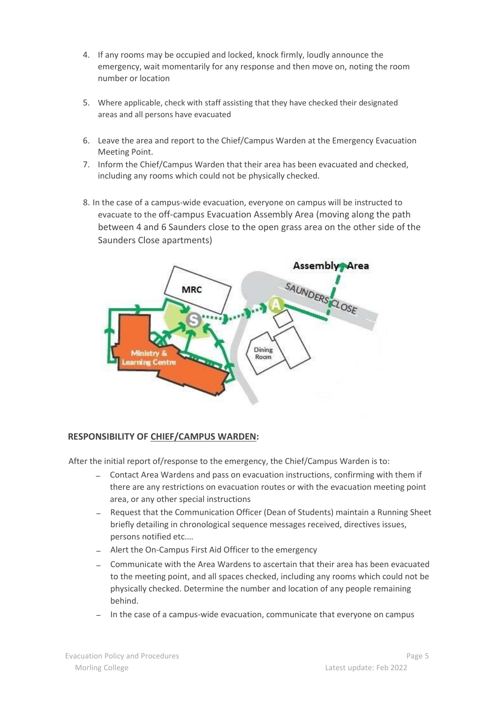- 4. If any rooms may be occupied and locked, knock firmly, loudly announce the emergency, wait momentarily for any response and then move on, noting the room number or location
- 5. Where applicable, check with staff assisting that they have checked their designated areas and all persons have evacuated
- 6. Leave the area and report to the Chief/Campus Warden at the Emergency Evacuation Meeting Point.
- 7. Inform the Chief/Campus Warden that their area has been evacuated and checked, including any rooms which could not be physically checked.
- 8. In the case of a campus-wide evacuation, everyone on campus will be instructed to evacuate to the off-campus Evacuation Assembly Area (moving along the path between 4 and 6 Saunders close to the open grass area on the other side of the Saunders Close apartments)



#### **RESPONSIBILITY OF CHIEF/CAMPUS WARDEN:**

After the initial report of/response to the emergency, the Chief/Campus Warden is to:

- − Contact Area Wardens and pass on evacuation instructions, confirming with them if there are any restrictions on evacuation routes or with the evacuation meeting point area, or any other special instructions
- − Request that the Communication Officer (Dean of Students) maintain a Running Sheet briefly detailing in chronological sequence messages received, directives issues, persons notified etc.…
- − Alert the On-Campus First Aid Officer to the emergency
- − Communicate with the Area Wardens to ascertain that their area has been evacuated to the meeting point, and all spaces checked, including any rooms which could not be physically checked. Determine the number and location of any people remaining behind.
- In the case of a campus-wide evacuation, communicate that everyone on campus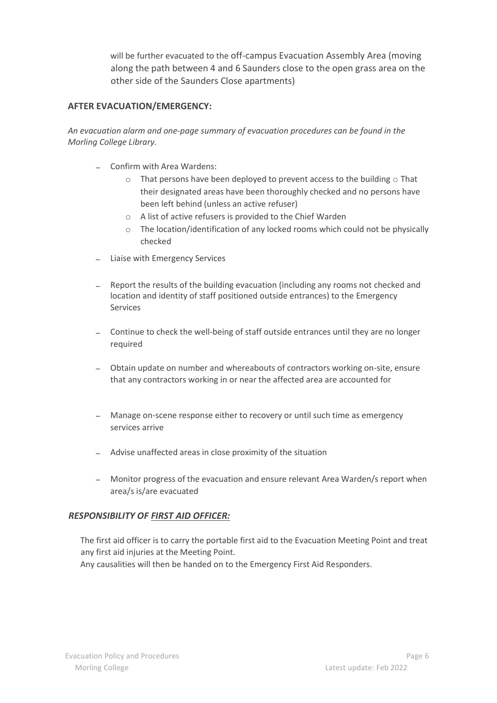will be further evacuated to the off-campus Evacuation Assembly Area (moving along the path between 4 and 6 Saunders close to the open grass area on the other side of the Saunders Close apartments)

#### **AFTER EVACUATION/EMERGENCY:**

*An evacuation alarm and one-page summary of evacuation procedures can be found in the Morling College Library.* 

- − Confirm with Area Wardens:
	- $\circ$  That persons have been deployed to prevent access to the building  $\circ$  That their designated areas have been thoroughly checked and no persons have been left behind (unless an active refuser)
	- o A list of active refusers is provided to the Chief Warden
	- $\circ$  The location/identification of any locked rooms which could not be physically checked
- − Liaise with Emergency Services
- − Report the results of the building evacuation (including any rooms not checked and location and identity of staff positioned outside entrances) to the Emergency Services
- − Continue to check the well-being of staff outside entrances until they are no longer required
- − Obtain update on number and whereabouts of contractors working on-site, ensure that any contractors working in or near the affected area are accounted for
- − Manage on-scene response either to recovery or until such time as emergency services arrive
- − Advise unaffected areas in close proximity of the situation
- − Monitor progress of the evacuation and ensure relevant Area Warden/s report when area/s is/are evacuated

#### *RESPONSIBILITY OF FIRST AID OFFICER:*

The first aid officer is to carry the portable first aid to the Evacuation Meeting Point and treat any first aid injuries at the Meeting Point.

Any causalities will then be handed on to the Emergency First Aid Responders.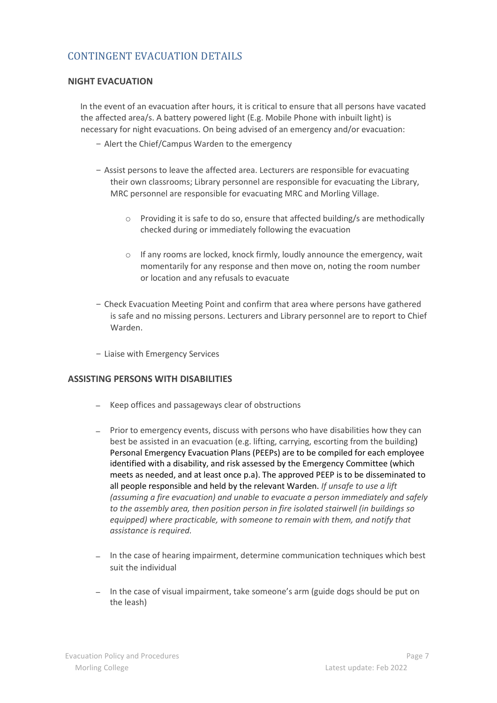## CONTINGENT EVACUATION DETAILS

#### **NIGHT EVACUATION**

In the event of an evacuation after hours, it is critical to ensure that all persons have vacated the affected area/s. A battery powered light (E.g. Mobile Phone with inbuilt light) is necessary for night evacuations. On being advised of an emergency and/or evacuation:

- − Alert the Chief/Campus Warden to the emergency
- − Assist persons to leave the affected area. Lecturers are responsible for evacuating their own classrooms; Library personnel are responsible for evacuating the Library, MRC personnel are responsible for evacuating MRC and Morling Village.
	- o Providing it is safe to do so, ensure that affected building/s are methodically checked during or immediately following the evacuation
	- $\circ$  If any rooms are locked, knock firmly, loudly announce the emergency, wait momentarily for any response and then move on, noting the room number or location and any refusals to evacuate
- − Check Evacuation Meeting Point and confirm that area where persons have gathered is safe and no missing persons. Lecturers and Library personnel are to report to Chief Warden.
- − Liaise with Emergency Services

#### **ASSISTING PERSONS WITH DISABILITIES**

- − Keep offices and passageways clear of obstructions
- − Prior to emergency events, discuss with persons who have disabilities how they can best be assisted in an evacuation (e.g. lifting, carrying, escorting from the building) Personal Emergency Evacuation Plans (PEEPs) are to be compiled for each employee identified with a disability, and risk assessed by the Emergency Committee (which meets as needed, and at least once p.a). The approved PEEP is to be disseminated to all people responsible and held by the relevant Warden. *If unsafe to use a lift (assuming a fire evacuation) and unable to evacuate a person immediately and safely to the assembly area, then position person in fire isolated stairwell (in buildings so equipped) where practicable, with someone to remain with them, and notify that assistance is required.*
- − In the case of hearing impairment, determine communication techniques which best suit the individual
- − In the case of visual impairment, take someone's arm (guide dogs should be put on the leash)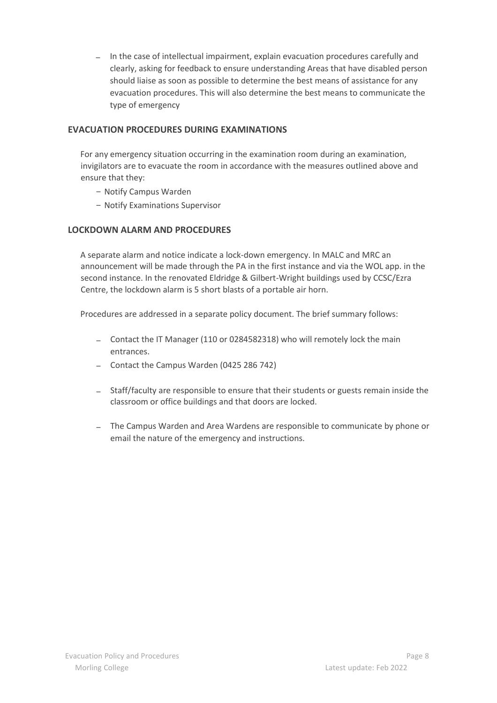− In the case of intellectual impairment, explain evacuation procedures carefully and clearly, asking for feedback to ensure understanding Areas that have disabled person should liaise as soon as possible to determine the best means of assistance for any evacuation procedures. This will also determine the best means to communicate the type of emergency

#### **EVACUATION PROCEDURES DURING EXAMINATIONS**

For any emergency situation occurring in the examination room during an examination, invigilators are to evacuate the room in accordance with the measures outlined above and ensure that they:

- − Notify Campus Warden
- − Notify Examinations Supervisor

### **LOCKDOWN ALARM AND PROCEDURES**

A separate alarm and notice indicate a lock-down emergency. In MALC and MRC an announcement will be made through the PA in the first instance and via the WOL app. in the second instance. In the renovated Eldridge & Gilbert-Wright buildings used by CCSC/Ezra Centre, the lockdown alarm is 5 short blasts of a portable air horn.

Procedures are addressed in a separate policy document. The brief summary follows:

- − Contact the IT Manager (110 or 0284582318) who will remotely lock the main entrances.
- − Contact the Campus Warden (0425 286 742)
- − Staff/faculty are responsible to ensure that their students or guests remain inside the classroom or office buildings and that doors are locked.
- − The Campus Warden and Area Wardens are responsible to communicate by phone or email the nature of the emergency and instructions.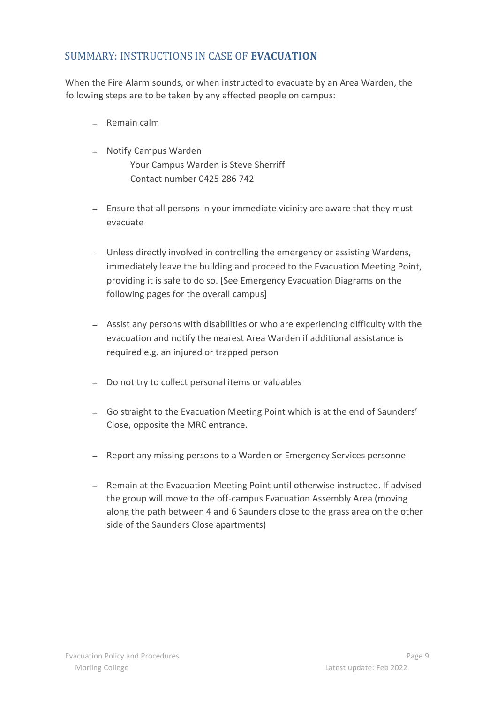## SUMMARY: INSTRUCTIONS IN CASE OF **EVACUATION**

When the Fire Alarm sounds, or when instructed to evacuate by an Area Warden, the following steps are to be taken by any affected people on campus:

- − Remain calm
- − Notify Campus Warden Your Campus Warden is Steve Sherriff Contact number 0425 286 742
- − Ensure that all persons in your immediate vicinity are aware that they must evacuate
- − Unless directly involved in controlling the emergency or assisting Wardens, immediately leave the building and proceed to the Evacuation Meeting Point, providing it is safe to do so. [See Emergency Evacuation Diagrams on the following pages for the overall campus]
- − Assist any persons with disabilities or who are experiencing difficulty with the evacuation and notify the nearest Area Warden if additional assistance is required e.g. an injured or trapped person
- − Do not try to collect personal items or valuables
- − Go straight to the Evacuation Meeting Point which is at the end of Saunders' Close, opposite the MRC entrance.
- − Report any missing persons to a Warden or Emergency Services personnel
- − Remain at the Evacuation Meeting Point until otherwise instructed. If advised the group will move to the off-campus Evacuation Assembly Area (moving along the path between 4 and 6 Saunders close to the grass area on the other side of the Saunders Close apartments)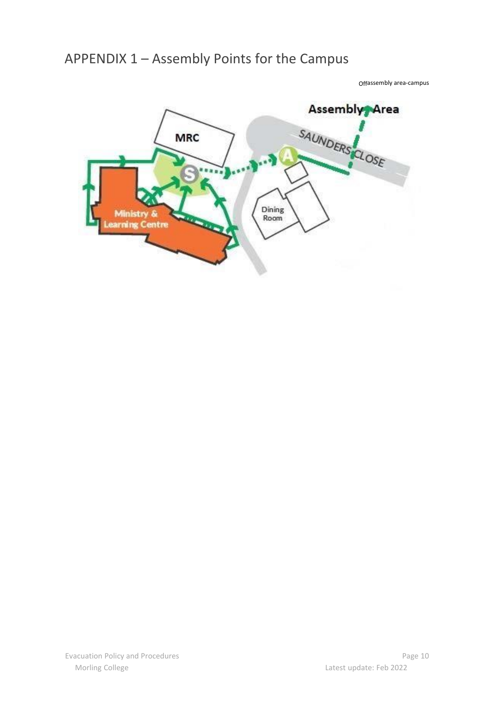# APPENDIX 1 – Assembly Points for the Campus

Offassembly area-campus